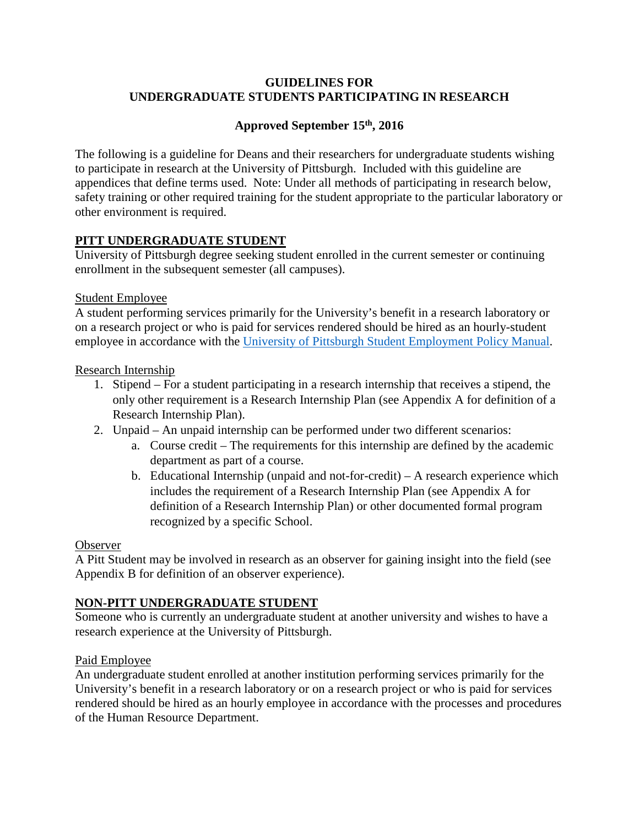### **GUIDELINES FOR UNDERGRADUATE STUDENTS PARTICIPATING IN RESEARCH**

# **Approved September 15th, 2016**

The following is a guideline for Deans and their researchers for undergraduate students wishing to participate in research at the University of Pittsburgh. Included with this guideline are appendices that define terms used. Note: Under all methods of participating in research below, safety training or other required training for the student appropriate to the particular laboratory or other environment is required.

# **PITT UNDERGRADUATE STUDENT**

University of Pittsburgh degree seeking student enrolled in the current semester or continuing enrollment in the subsequent semester (all campuses).

#### Student Employee

A student performing services primarily for the University's benefit in a research laboratory or on a research project or who is paid for services rendered should be hired as an hourly-student employee in accordance with the [University of Pittsburgh Student Employment Policy Manual.](http://www.hr.pitt.edu/students)

### Research Internship

- 1. Stipend For a student participating in a research internship that receives a stipend, the only other requirement is a Research Internship Plan (see Appendix A for definition of a Research Internship Plan).
- 2. Unpaid An unpaid internship can be performed under two different scenarios:
	- a. Course credit The requirements for this internship are defined by the academic department as part of a course.
	- b. Educational Internship (unpaid and not-for-credit) A research experience which includes the requirement of a Research Internship Plan (see Appendix A for definition of a Research Internship Plan) or other documented formal program recognized by a specific School.

#### Observer

A Pitt Student may be involved in research as an observer for gaining insight into the field (see Appendix B for definition of an observer experience).

# **NON-PITT UNDERGRADUATE STUDENT**

Someone who is currently an undergraduate student at another university and wishes to have a research experience at the University of Pittsburgh.

#### Paid Employee

An undergraduate student enrolled at another institution performing services primarily for the University's benefit in a research laboratory or on a research project or who is paid for services rendered should be hired as an hourly employee in accordance with the processes and procedures of the Human Resource Department.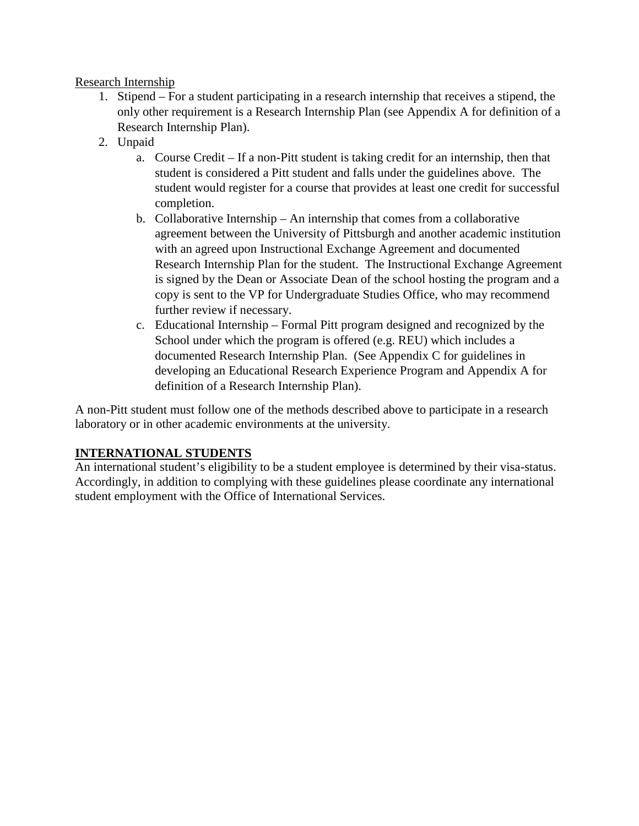### Research Internship

- 1. Stipend For a student participating in a research internship that receives a stipend, the only other requirement is a Research Internship Plan (see Appendix A for definition of a Research Internship Plan).
- 2. Unpaid
	- a. Course Credit If a non-Pitt student is taking credit for an internship, then that student is considered a Pitt student and falls under the guidelines above. The student would register for a course that provides at least one credit for successful completion.
	- b. Collaborative Internship An internship that comes from a collaborative agreement between the University of Pittsburgh and another academic institution with an agreed upon Instructional Exchange Agreement and documented Research Internship Plan for the student. The Instructional Exchange Agreement is signed by the Dean or Associate Dean of the school hosting the program and a copy is sent to the VP for Undergraduate Studies Office, who may recommend further review if necessary.
	- c. Educational Internship Formal Pitt program designed and recognized by the School under which the program is offered (e.g. REU) which includes a documented Research Internship Plan. (See Appendix C for guidelines in developing an Educational Research Experience Program and Appendix A for definition of a Research Internship Plan).

A non-Pitt student must follow one of the methods described above to participate in a research laboratory or in other academic environments at the university.

# **INTERNATIONAL STUDENTS**

An international student's eligibility to be a student employee is determined by their visa-status. Accordingly, in addition to complying with these guidelines please coordinate any international student employment with the Office of International Services.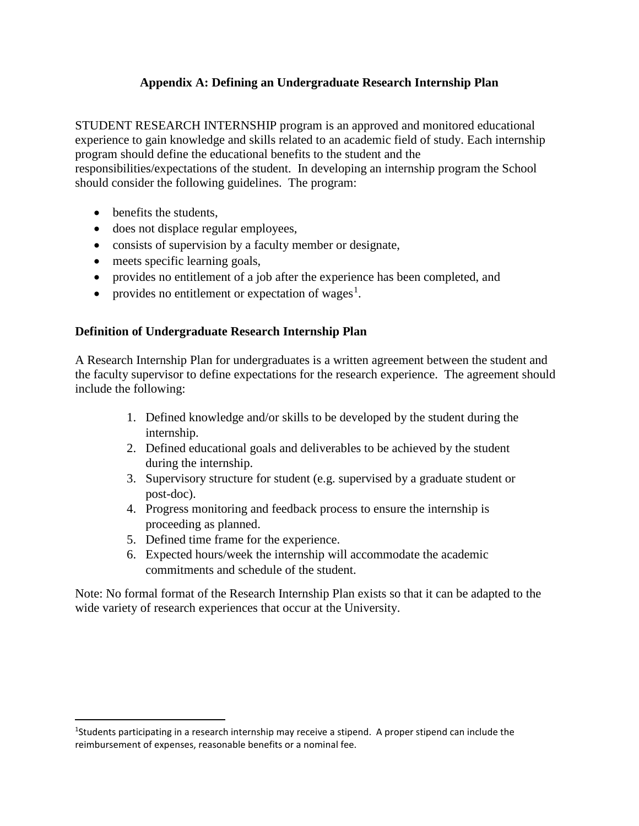# **Appendix A: Defining an Undergraduate Research Internship Plan**

STUDENT RESEARCH INTERNSHIP program is an approved and monitored educational experience to gain knowledge and skills related to an academic field of study. Each internship program should define the educational benefits to the student and the responsibilities/expectations of the student. In developing an internship program the School

should consider the following guidelines. The program:

- benefits the students,
- does not displace regular employees,
- consists of supervision by a faculty member or designate,
- meets specific learning goals,
- provides no entitlement of a job after the experience has been completed, and
- provides no entitlement or expectation of wages<sup>[1](#page-2-0)</sup>.

# **Definition of Undergraduate Research Internship Plan**

A Research Internship Plan for undergraduates is a written agreement between the student and the faculty supervisor to define expectations for the research experience. The agreement should include the following:

- 1. Defined knowledge and/or skills to be developed by the student during the internship.
- 2. Defined educational goals and deliverables to be achieved by the student during the internship.
- 3. Supervisory structure for student (e.g. supervised by a graduate student or post-doc).
- 4. Progress monitoring and feedback process to ensure the internship is proceeding as planned.
- 5. Defined time frame for the experience.
- 6. Expected hours/week the internship will accommodate the academic commitments and schedule of the student.

Note: No formal format of the Research Internship Plan exists so that it can be adapted to the wide variety of research experiences that occur at the University.

<span id="page-2-0"></span> $\frac{1}{1}$ <sup>1</sup>Students participating in a research internship may receive a stipend. A proper stipend can include the reimbursement of expenses, reasonable benefits or a nominal fee.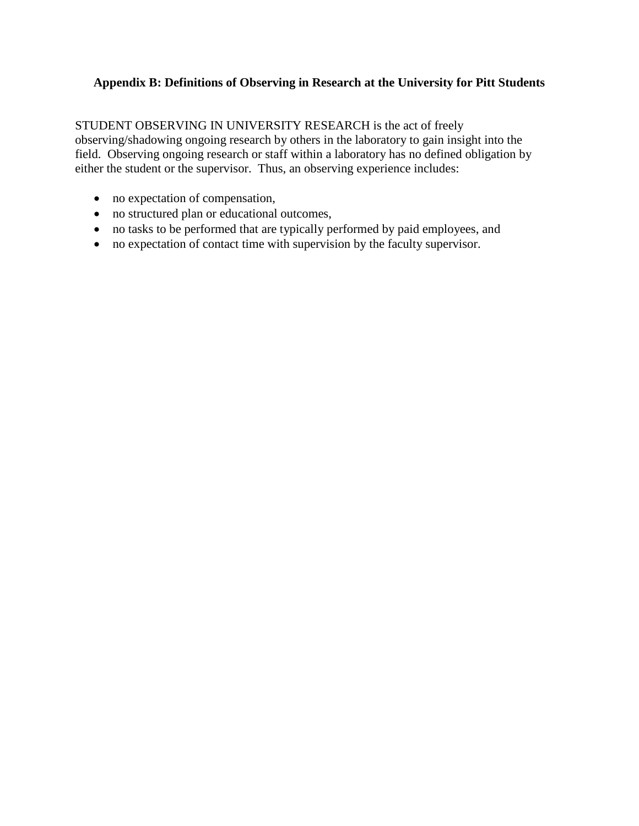# **Appendix B: Definitions of Observing in Research at the University for Pitt Students**

STUDENT OBSERVING IN UNIVERSITY RESEARCH is the act of freely observing/shadowing ongoing research by others in the laboratory to gain insight into the field. Observing ongoing research or staff within a laboratory has no defined obligation by either the student or the supervisor. Thus, an observing experience includes:

- no expectation of compensation,
- no structured plan or educational outcomes,
- no tasks to be performed that are typically performed by paid employees, and
- no expectation of contact time with supervision by the faculty supervisor.